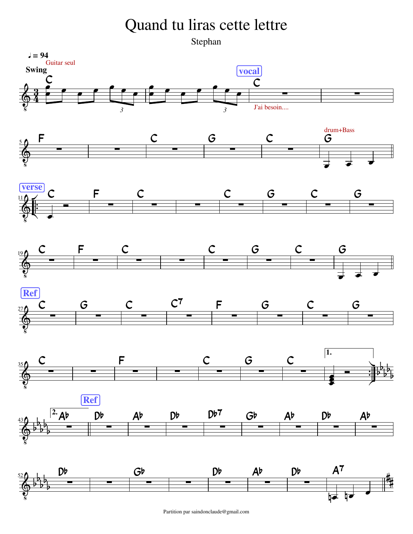## Quand tu liras cette lettre

Stephan

















Partition par saindonclaude@gmail.com